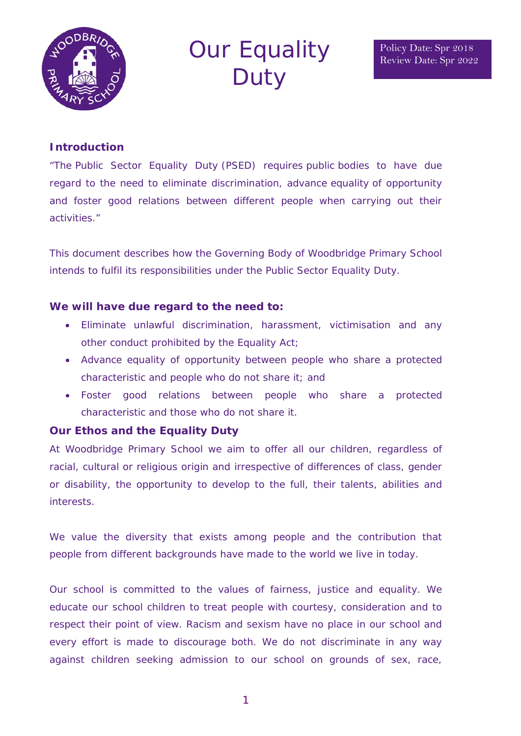

# Our Equality **Duty**

### **Introduction**

"The Public Sector Equality Duty (PSED) requires public bodies to have due regard to the need to eliminate discrimination, advance equality of opportunity and foster good relations between different people when carrying out their activities."

This document describes how the Governing Body of Woodbridge Primary School intends to fulfil its responsibilities under the Public Sector Equality Duty.

#### **We will have due regard to the need to:**

- Eliminate unlawful discrimination, harassment, victimisation and any other conduct prohibited by the Equality Act;
- Advance equality of opportunity between people who share a protected characteristic and people who do not share it; and
- Foster good relations between people who share a protected characteristic and those who do not share it.

#### **Our Ethos and the Equality Duty**

At Woodbridge Primary School we aim to offer all our children, regardless of racial, cultural or religious origin and irrespective of differences of class, gender or disability, the opportunity to develop to the full, their talents, abilities and interests.

We value the diversity that exists among people and the contribution that people from different backgrounds have made to the world we live in today.

Our school is committed to the values of fairness, justice and equality. We educate our school children to treat people with courtesy, consideration and to respect their point of view. Racism and sexism have no place in our school and every effort is made to discourage both. We do not discriminate in any way against children seeking admission to our school on grounds of sex, race,